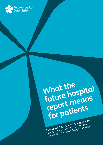

# **What the future hospital report means for patients**

Summary of *Future hospital: caring for medical*  patients, a report from the Future Hospital Commission to the Royal College of Physicians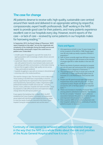# **The case for change**

All patients deserve to receive safe, high-quality, sustainable care centred around their needs and delivered in an appropriate setting by respectful, compassionate, expert health professionals. Staff working in the NHS want to provide good care for their patients, and many patients experience excellent care in our hospitals every day. However, recent reports of the care – or lack of care – received by some patients in our hospitals makes for harrowing reading.<sup>1-6</sup>

**In September 2012, the Royal College of Physicians' (RCP) report** *Hospitals on the edge?***<sup>7</sup> set out the magnitude and complexity of the challenges facing the health service and the potentially catastrophic impact this could have on patient care. It described:**

- > a health system ill-equipped to cope with the needs of an ageing population with increasingly complex clinical, care and support needs
- > a systematic failure to deliver coordinated, patient-centred care, with patients forced to move between beds, teams and care settings with little communication or information sharing
- > services that struggle to deliver high-quality services across 7 days, particularly at weekends
- > hospitals struggling to cope with an increase in clinical demand
- > a looming crisis in the medical workforce.

The need for change is clear. The time has come to take action. Those working in the NHS have a responsibility to lead this change, supported by the organisations that represent them and empowered by national policy-makers. Organisations and professionals involved in health and social care – including doctors, nurses, politicians, hospitals and national bodies – must be prepared to make difficult decisions and implement radical change where this will improve patient care.

It was against this backdrop that, in March 2012, the RCP established the Future Hospital Commission, an independent group tasked with identifying how hospital services can adapt to meet the needs of patients, now and in the future. *Future hospital: Caring for medical patients* sets out this vision.8

#### **Facts and figures**

- 1 Life expectancy at birth is now 12 years longer than at the inception of the NHS in 1948. People aged over 60 now make up nearly a quarter of Britain's population.9
- 2 Half of those currently aged over 60 have a chronic illness. This proportion will increase as the number of people aged 85 or older doubles in the next 20 years.10
- 3 Nearly two thirds of patients admitted to hospital are over 65 years old, and around 25% of hospital inpatients have a diagnosis of dementia.<sup>11,12</sup>
- 4 The average length of stay in acute care in the UK in 2010 was 7.7 days, significantly higher than in Australia (5.1), the Netherlands (5.8) and the USA  $(4.9).$ <sup>13</sup>
- 5 People over 85 spend around eight days longer in hospital than those under 65 years old – 11 days compared to three. People over 85 years old now account for 22% of all days spent in our hospitals' beds. $11,12$
- 6 There is an increase in mortality of around 10% among patients admitted at weekends. The reasons for this are complex.<sup>14</sup> However, reports show an association between the presence of senior doctors and improved clinical outcomes for patients.15
- 7 Over a quarter (28%) of consultant physicians rate their hospital's ability to deliver continuity of care for patients as poor or very poor.<sup>16</sup>

'Continuity of care cannot be achieved without fundamental change in the way that the NHS as a whole thinks about the role and priorities of the Acute General Hospital and how it is run.' (King's Fund)<sup>12</sup>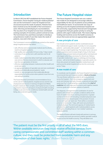**In March 2012 the RCP established the Future Hospital Commission.** *Future hospital: Caring for medical patients***<sup>8</sup> sets out the Commission's vision for hospital services structured around the needs of patients. Patients have been involved across the breadth of the Commission's work, informing and developing its recomendations. The very best of our hospital services have contributed existing examples of innovative, patient-centred services. The Commission has used these examples to develop a comprehensive model of care that meets the needs of patients, now and in the future.** 

The Commission's recommendations are centred on the need to design hospital services that deliver:

- > safe, effective and compassionate medical care for all who need it as hospital inpatients
- > high-quality care sustainable 24 hours a day, 7 days a week
- > continuity of care as the norm, with seamless care for all patients
- > stable medical teams that deliver both high-quality patient care and an effective environment in which to educate and train the next generation of doctors
- > effective relationships between medical and other health and social care teams
- > an appropriate balance of specialist care and care coordinated expertly and holistically around patients' needs
- > transfer of care arrangements that realistically allocate responsibility for further action when patients move from one care setting to another.

The Future Hospital Commission's recommendations focus on the care of medical patients, hospital services and the role of physicians and doctors in training in England and Wales. People's needs are often complex, and hospital services must be organised to respond to all aspects of physical health (including multiple acute and chronic conditions), mental health and wellbeing, and social and support needs.

# **Introduction The Future Hospital vision**

**The Future Hospital Commission sets out a radical new model of care designed to encourage collective responsibility for the care of patients across professions and healthcare teams. It recommends new ways of working across the hospital and between hospital and the community, supported by financial and management arrangements that give greater priority to caring for patients with urgent medical needs. This means aligning funding and incentives across the health economy to ensure that acute services are appropriately supported.**

#### **A new principle of care**

Care should come to patients and be coordinated around their medical and support needs. Currently, it is not unusual for  $p$ atients – particularly older  $p$ eople<sup>12</sup> – to move beds several times during a single hospital stay. This results in poor care, poor patient experience and increases length of stay. In the future hospital, moves between beds and wards will be minimised and only happen when this is necessary for clinical care. Delivery of specialist medical care – such as cardiology and neurology services – will not be limited to patients in specialist wards or to those who present at hospital. Specialist medical teams will work across the whole hospital and out into the community across 7 days.

#### **A new model of care**

To coordinate care for patients, the Future Hospital Commission recommends that each hospital establish a **Medical Division**. This new Division will be responsible for all medical services across the hospital – from the emergency department and acute and intensive care beds, through to general and specialist wards (see Fig 1). It will be led by a senior doctor (the **chief of medicine**) who will make sure that teams work together towards common goals and in the best interests of patients.

The diagnosis, management and coordination of care for patients with multiple and complex conditions will be at the heart of medical education, training and practice. A greater number of medical staff (including consultant physicians and doctors in training) will participate in the provision of acute services and 'general' ward care. There will be a consultant presence on wards over 7 days, with ward care prioritised in medical job plans. The remit and capacity of medical teams will extend to adult inpatients with medical problems across the hospital, including those on 'non-medical' wards (eg surgical patients).

The Medical Division will work closely with partners in primary, community and social care services to deliver specialist medical services across the health economy. They will deliver and

'The patient must be the first priority in all of what the NHS does. Within available resources they must receive effective services from caring compassionate and committed staff working within a common culture, and they must be protected from avoidable harm and any deprivation of their basic rights.' (Robert Francis QC)<sup>1</sup>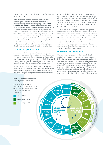manage services together, with shared outcomes focused on the needs of patients.

Immediate access to comprehensive information about patients is particularly important in the assessment of people presenting as a medical emergency. A new **Clinical Coordination Centre** will make sure that healthcare staff have the information they need to care for patients effectively. It will hold detailed, real-time information on patients' care needs and clinical status, and coordinate staff and services so that patient needs can be met. In the longer-term, this would evolve to include information from hospital services, primary and community care, mental health and social care, all held in a single electronic patient record. There would be rapid, relevant sharing of information across the local health economy, mechanisms for rapid admission and referral to hospital, and effective arrangements for patients ready to leave hospital.

#### **Coordinated specialist care**

Advances in medical science mean that outcomes for many patients with a single medical condition have never been better. However, an increasing number of patients present at hospital, not with a single medical problem, but with multiple illnesses and a range of support needs due to conditions like dementia. Our hospitals are often ill equipped to care for these patients.

Responsibilities for the care of patients must extend beyond traditional ward or team boundaries. We must bring the advances in medical care to *all* patients, whatever their additional needs and wherever they are in hospital or the community. This means

specialist medical teams will work – not just in specialist wards – but across the hospital. Care for patients with multiple conditions will be coordinated by a single named consultant, with input from a range of specialist teams when patients' clinical needs require it. Patients whose needs would best be met on a specialist ward will be identified swiftly so that they can be 'fast-tracked' – in some cases directly from the community.

To support this way of working, the performance of specialist medical teams will be assessed according to how well they meet the needs of patients with specified conditions across the hospital and health economy, not just those located on specialist wards. To deliver this new model of care, it is crucial that the doctors of the future are able to care effectively for older patients with complex conditions. Medical education and training will be designed to equip doctors with the expertise to manage older patients with frailty and dementia, and lead and coordinate the 'whole care' of patients in hospital and the community.

#### **Expert care and assessment**

Patients are most vulnerable when they are admitted to hospital in an emergency. These patients should receive a single initial assessment and ongoing care by a single team. In order to achieve this, care will be organised so that patients are reviewed by a senior doctor as soon as possible after arriving at hospital. This means making sure that specialist medical teams are available at the hospital 'front door' for dedicated blocks of time. Specialist medical teams will work together with emergency and acute medicine consultants to diagnose patients swiftly, allow them to leave hospital if they do not need



#### **Fig 1. The Medical Division remit: circle of patient-centred care.**

based Medical Division) denote areas of the future hospital where patients may be referred on to tertiary specialist care.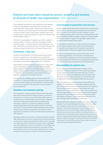# 'Patients and their carers should be present, powerful and involved at all levels of health care organisations.' (Don Berwick)<sup>17</sup>

to be admitted, and plan the most appropriate care pathway if they do. Early diagnosis and response to conditions that particularly affect older people – like dementia, delirium and frailty – improve outcomes for patients and should be available across the whole hospital 7 days a week. Similarly, there must be rapid access to specialist psychiatric support for patients with mental health conditions.

The level of care available in hospitals must reflect a patient's severity of illness. In order to meet the increasingly complex needs of patients – including those who have dementia or are frail – there will be more beds with access to higher intensity care, including nursing numbers that match patient requirements.

#### **Continuous, 7-day care**

Acutely ill medical patients in hospital should have the same access to medical care on the weekend as on a week day. Services should be organised so that clinical staff and diagnostic and support services are readily available on a 7-day basis.

There will be a consultant presence on wards over 7 days, with ward care prioritised in doctors' job plans. Where possible, patients will spend their time in hospital under the care of a single consultant-led team. Rotas for staff will be designed on a 7-day basis, and coordinated so that medical teams work together as a team from one day to the next.

Arrangements for enabling patients to leave hospital will operate on a 7-day basis. Health and social care services in the community will be organised and integrated to enable patients to move out of hospital on the day they no longer require an acute hospital bed.

#### **Seamless care between settings**

Once admitted to hospital, patients will not move beds unless their clinical needs demand it. When a patient is cared for by a new team or moved to a new setting, there will be rigorous arrangements for transferring their care (through 'handover'). This process will be prioritised by staff and supported by information captured in an electronic patient record that contains high-quality information about patients' clinical and care needs. This record will be viewable by patients and relevant professionals in both the hospital and community in order to support the coordination of care and minimise the duplication of data collection.

Specialist medical care will not be confined to inside the hospital walls. Medical teams will work closely with GPs and those working in social care to make sure patients have swift access to specialist care when they need it, wherever they need it. Much specialised care will be delivered in or close to the patient's home. Physicians and specialist medical teams will expect to spend part of their time working in the community, with a particular focus on caring for patients with long-term conditions and preventing crises.

#### **Care focused on prevention and recovery**

Patients should only be admitted to hospital if their clinical needs require it. For many, admission to hospital is the most effective way to set them on the road to recovery. However, it can be disorientating and disruptive. In the future, hospitals will promote ways of working that allow emergency patients to leave hospital on the same day, with support from specialist medical teams provided outside hospital if they need it.

Care for patients should focus on their recovery and enabling them to leave hospital as soon as their clinical needs allow. Planning for this will begin when the patient is admitted to hospital and will be reviewed throughout their hospital stay.

Patients can be empowered to prevent and recover from ill health through effective communication, shared decisionmaking and self-management. Clinicians and patients will work together to select tests, treatments or management plans based on clinical evidence and the patient's informed preferences.

#### **Responsibility for patient care**

Doctors will assume clinical leadership for safety, clinical outcomes and patient experience. This includes responsibility to raise questions and take action when there are concerns about care standards, and collaborate with other teams and professions to make sure that patients receive effective care throughout the hospital and wider health and care system.

There will always be a named consultant responsible for the standard of care delivered to each patient. Patients will know who is responsible for their care and how they can be contacted. The consultant will be in charge of coordinating care for all patients on the ward, supported by a team. The consultant and ward manager will assume joint responsibility for ensuring basic standards of care are delivered, and that patients are treated with dignity and respect. Nurse leadership and the role of the ward manager will be developed and promoted.

Medical staff will be supported to deliver safe, high-quality care. Hospitals must review staffing levels to ensure that they reflect the complexity and needs of the current patient mix across all wards. There will be mechanisms for measuring patients' experience of care. This information will be used by hospitals, clinical teams and clinicians to reflect on their practice and drive improvement. A Citizenship Charter that puts the patient at the centre of everything the hospital does should be developed with patients, staff and managers. This should be based on the NHS Constitution<sup>18</sup> and embed in practice the principles of care set out by the Future Hospital Commission.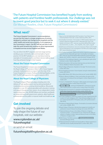'The Future Hospital Commission has benefited hugely from working with patients and frontline health professionals. Our challenge was not to invent good practice but to seek it out where it already existed.' (Sir Michael Rawlins, chair, Future Hospital Commission)

# **What next?**

**The Future Hospital Commission's recommendations are just the first step in a longer programme of activity designed to achieve real change across hospitals and the wider health and social care economy. In its response to the Commission's report, the RCP will set out how it will take this work forward and continue to drive improvement in hospital services across England and Wales.**

You can inform the RCP's response and next stage work by sending us your comments, ideas and examples of good practice. On the RCP website, you can read about existing examples of innovative practice and listen doctors talking about how they achieved change in their hospital.

#### **About the Future Hospital Commission**

The Future Hospital Commission was established by the Royal College of Physicians in March 2012. *Future hospital: caring for medical patients* is a report from the chair of the Future Hospital Commission, Professor Sir Michael Rawlins, to the RCP. The RCP will respond to the report in autumn 2013.

#### **About the Royal College of Physicians**

The Royal College of Physicians plays a leading role in the delivery of high-quality patient care by setting standards of medical practice and promoting clinical excellence. We provide physicians in over 30 medical specialties with education, training and support throughout their careers. As an independent charity representing more than 28,500 fellows and members worldwide, we advise and work with government, patients, allied healthcare professionals and the public to improve health and healthcare.

# **Get involved**

To join the ongoing debate and help shape the future of our hospitals, visit our website:

# **www.rcplondon.ac.uk/ futurehospital**

or send an email:

## **futurehospital@rcplondon.ac.uk**

#### **References**

- *1 Report of the Mid Staffordshire NHS Foundation Trust Public Inquiry*. Chaired by Robert Francis QC. London: Stationery Office, 2013.
- 2 Care Quality Commission. *Time to listen: In NHS hospitals. Dignity and nutrition inspection programme 2012*. Newcastle upon Tyne: Care Quality Commission, 2013. www.cqc.org.uk/sites/default/files/media/ documents/time\_to\_listen\_-\_nhs\_hospitals\_main\_report\_tag.pdf
- 3 Health Service Ombudsman. *Care and compassion? Report of the Health Service Ombudsman on ten investigations into NHS care of older people*, 2011. www.ombudsman.org.uk
- 4 Care Quality Commission*. Dignity and nutrition inspection programme: national overview*. Newcastle upon Tyne: Care Quality Commission, 2011. www.cqc.org.uk/sites/default/files/media/documents/20111007\_ dignity\_and\_nutrition\_inspection\_report [accessed 16 August 2013].
- 5 Levenson R. *The challenge of dignity in care: upholding the rights of the individual.* London: Help the Aged, 2007.
- 6 Patients Association. *We have been listening, have you been learning?*  Harrow, Middlesex: Patients Association, 2011.
- 7 Royal College of Physicians. *Hospitals on the edge? The time for action*. London: RCP, 2012.
- 8 Future Hospital Commission. *Future hospital: caring for medical patients.*  London: RCP, 20123.
- 9 Ipsos MORI. *Britain 2012: Who do we think we are?* London: MORI, 2012.
- 10 Dilnot A, Warner N, Williams J. *Fairer care funding: the report of the Commission on Funding of Care and Support*. London: Department of Health, 2011.
- 11 Imison C, Poteliakhoff E, Thompson J. *Older people and emergency bed use: exploring variation*. London: King's Fund, 2012.
- 12 [Cornwell J,](http://www.kingsfund.org.uk/about-us/whos-who/jocelyn-cornwell) [Sonola](http://www.kingsfund.org.uk/about-us/whos-who/lara-sonola) L, Levenson R, Poteliakhoff E. *Continuity of care for older hospital patients: a call for action*. London: King's Fund, 2012.
- 13 Organisation for Economic Co-operation and Development. OECD health data: frequently requested data. London: OECD, 2012. [www.oecd.org/els/healthpoliciesanddata/oecdhealthdata2012](http://www.oecd.org/els/healthpoliciesanddata/oecdhealthdata2012-frequentlyrequesteddata.htm) [frequentlyrequesteddata.htm](http://www.oecd.org/els/healthpoliciesanddata/oecdhealthdata2012-frequentlyrequesteddata.htm) [accessed 3 September 2012].
- 14 Dr Foster Intelligence. *Inside your hospital. Dr Foster hospital guide 2011*. London: Dr Foster Intelligence, 2011. http://drfosterintelligence.co.uk/ wp-content/uploads/2011/11/Hospital\_Guide\_2011.pdf [Accessed 3 Sept 2012].
- 15 Academy of Medical Royal Colleges. *The benefits of consultant-delivered care.* London: AOMRC, 2012.
- 16 Royal College of Physicians. *Membership engagement, benefits and publications research.* Research by Design Ltd. London: RCP, 2012.
- 17 National Advisory Group on the Safety of Patients in England. *A promise to learn – a commitment to act: Improving the safety of patients in England.* London: National Advisory Group on the Safety of Patients in England, 2013.
- 18 NHS Choices. The NHS Constitution. [www.nhs.uk/nhsconstitution](http://www.nhs.uk/nhsconstitution) [accessed 28 August 2013].
- 19 National Institute for Health and Care Excellence. *Patient experience in adult NHS services*. Quality Standard QS15. London: NICE, 2012.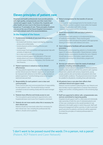# **Eleven principles of patient care**

**Hospitals and health professionals must provide patients with high-quality, compassionate care that meets their clinical and support needs. To achieve this, hospitals and other health services must in the future be designed around our 11 principles of care. These principles of patient care are at the core of the Future Hospital Commission's work and underpin each of its recommendations.** 

### **In the hospital of the future:**

- **1 Fundamental standards of care must always be met:1** Patients must:
	- > be treated with kindness, respect and dignity, respecting privacy and confidentiality
	- > receive physical comfort including effective pain management
	- > receive proper food and nutrition and appropriate help with activities of daily living
	- > be in clean and comfortable surroundings
	- > receive emotional support and alleviation of fear and anxiety about such issues as clinical status, prognosis, and the impact of illness on themselves, their families and their finances.

#### **2 Patient experience is valued as much as clinical effectiveness**

 The way patients experience care should be valued as much as their clinical outcome. Patients' experience of care should be measured with reference to the NICE quality standard on patient experience,<sup>19</sup> and the findings acted on at hospital ward and execuive level.

**3 Responsibility for each patient's care is clear and communicated**

 There must be clear and communicated lines of responsibility for each patient's care. This should be led by a named consultant (a doctor) working closely with the ward manager (a nurse).

- **4 Patients have effective and timely access to care**  The time patients spend waiting for appointments, tests, hospital admission and moves from hospital is minimised.
- **5 Patients do not move wards unless this is necessary for their clinical care**

 Patients should not move beds unless this is necessary for their clinical care. Care, including the professionals that deliver it, should come to patients.

#### **6 Robust arrangements for the transfer of care are in place**

- There must be robust arrangements for the transfer of care:
- > between teams when a patient moves within the hospital
- > between teams when staff shifts change.
- > between the hospital and the community.
- **7 Good communication with and about patients is the norm**

 Communication with patients is a fundamental element of medical professionalism. There must be good communication with and about the patient, with appropriate sharing of information with relatives and carers.

**8 Care is designed to facilitate self-care and health promotion**

 Working with, and empowering, patients is a fundamental aspect of medical professionalism. Shared decision-making between doctors and patients should be the norm. Patients should have access to information, expert advice and education concerning their clinical status, progress and prognosis.

**9 Services are tailored to meet the needs of individual patients, including vulnerable patients**

 Services must be tailored to the needs of individual patients, including older patients who are frail, patients with cognitive impairment, patients with sensory impairments, young people, patients who are homeless and patients who have mental health conditions. The physical environment should be suitable for all patients, including those with dementia.

#### **10 All patients have a care plan that reflects their individual clinical and support needs**

 Patients must be involved in planning their care. Patients and their families must be supported in a manner that enhances dignity and comfort, including patients in the remaining days of life.

**11 Staff are supported to deliver safe, compassionate care, and are committed to improving quality** 

 Hospitals should support staff to collectively and individually take ownership of both the care of individual patients and of their own contribution to the overall standard of care delivered in the health system in which they work. Staff wellbeing and engagement will be a priority, in order to promote good outcomes for patients, and doctors will be supported to embed the principles of medical professionalism in their practice.

'I don't want to be passed round the wards: I'm a person, not a parcel.' (Patient, RCP Patient and Carer Network)